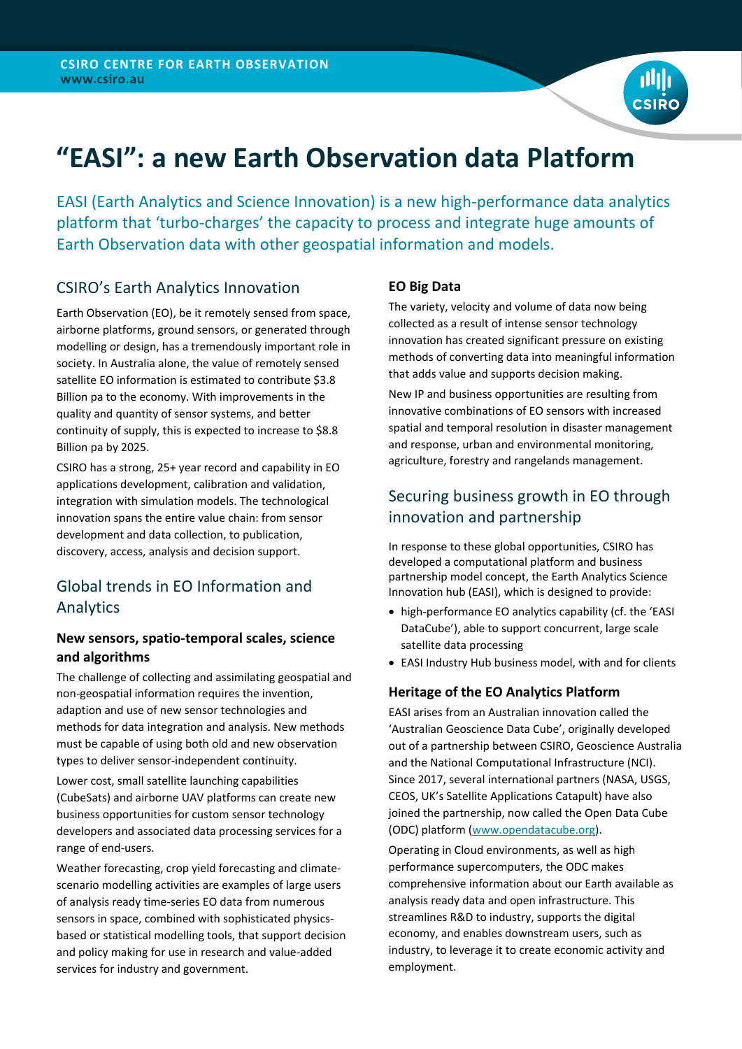

EASI (Earth Analytics and Science Innovation) is a new high-performance data analytics platform that 'turbo-charges' the capacity to process and integrate huge amounts of Earth Observation data with other geospatial information and models.

## CSIRO's Earth Analytics Innovation

Earth Observation (EO), be it remotely sensed from space, airborne platforms, ground sensors, or generated through modelling or design, has a tremendously important role in society. In Australia alone, the value of remotely sensed satellite EO information is estimated to contribute \$3.8 Billion pa to the economy. With improvements in the quality and quantity of sensor systems, and better continuity of supply, this is expected to increase to \$8.8 Billion pa by 2025.

CSIRO has a strong, 25+ year record and capability in EO applications development, calibration and validation, integration with simulation models. The technological innovation spans the entire value chain: from sensor development and data collection, to publication, discovery, access, analysis and decision support.

## Global trends in EO Information and Analytics

## **New sensors, spatio-temporal scales, science and algorithms**

The challenge of collecting and assimilating geospatial and non-geospatial information requires the invention, adaption and use of new sensor technologies and methods for data integration and analysis. New methods must be capable of using both old and new observation types to deliver sensor-independent continuity.

Lower cost, small satellite launching capabilities (CubeSats) and airborne UAV platforms can create new business opportunities for custom sensor technology developers and associated data processing services for a range of end-users.

Weather forecasting, crop yield forecasting and climatescenario modelling activities are examples of large users of analysis ready time-series EO data from numerous sensors in space, combined with sophisticated physicsbased or statistical modelling tools, that support decision and policy making for use in research and value-added services for industry and government.

### **EO Big Data**

The variety, velocity and volume of data now being collected as a result of intense sensor technology innovation has created significant pressure on existing methods of converting data into meaningful information that adds value and supports decision making.

New IP and business opportunities are resulting from innovative combinations of EO sensors with increased spatial and temporal resolution in disaster management and response, urban and environmental monitoring, agriculture, forestry and rangelands management.

# Securing business growth in EO through innovation and partnership

In response to these global opportunities, CSIRO has developed a computational platform and business partnership model concept, the Earth Analytics Science Innovation hub (EASI), which is designed to provide:

- high-performance EO analytics capability (cf. the 'EASI DataCube'), able to support concurrent, large scale satellite data processing
- EASI Industry Hub business model, with and for clients

## **Heritage of the EO Analytics Platform**

EASI arises from an Australian innovation called the 'Australian Geoscience Data Cube', originally developed out of a partnership between CSIRO, Geoscience Australia and the National Computational Infrastructure (NCI). Since 2017, several international partners (NASA, USGS, CEOS, UK's Satellite Applications Catapult) have also joined the partnership, now called the Open Data Cube (ODC) platform [\(www.opendatacube.org\)](http://www.opendatacube.org/).

Operating in Cloud environments, as well as high performance supercomputers, the ODC makes comprehensive information about our Earth available as analysis ready data and open infrastructure. This streamlines R&D to industry, supports the digital economy, and enables downstream users, such as industry, to leverage it to create economic activity and employment.